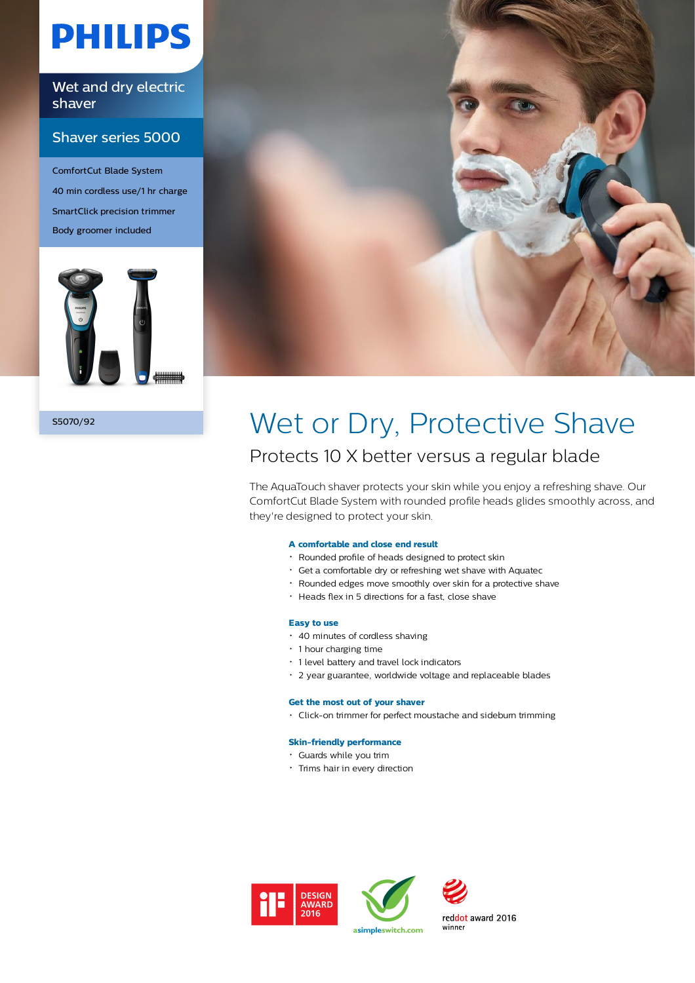# **PHILIPS**

Wet and dry electric shaver

### Shaver series 5000

ComfortCut Blade System 40 min cordless use/1 hr charge SmartClick precision trimmer Body groomer included





### S5070/92 Wet or Dry, Protective Shave Protects 10 X better versus a regular blade

The AquaTouch shaver protects your skin while you enjoy a refreshing shave. Our ComfortCut Blade System with rounded profile heads glides smoothly across, and they're designed to protect your skin.

#### **A comfortable and close end result**

- Rounded profile of heads designed to protect skin
- Get a comfortable dry or refreshing wet shave with Aquatec
- Rounded edges move smoothly over skin for a protective shave
- Heads flex in 5 directions for a fast, close shave

#### **Easy to use**

- 40 minutes of cordless shaving
- 1 hour charging time
- 1 level battery and travel lock indicators
- 2 year guarantee, worldwide voltage and replaceable blades

#### **Get the most out of your shaver**

• Click-on trimmer for perfect moustache and sideburn trimming

#### **Skin-friendly performance**

- Guards while you trim
- Trims hair in every direction







reddot award 2016 winner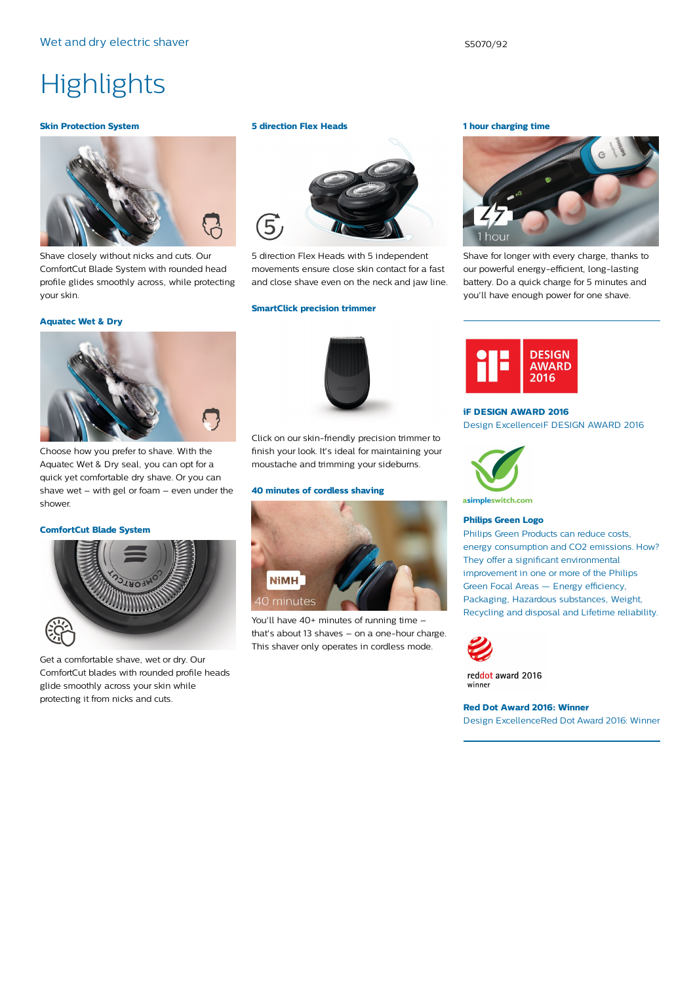## **Highlights**

#### **Skin Protection System**



Shave closely without nicks and cuts. Our ComfortCut Blade System with rounded head profile glides smoothly across, while protecting your skin.

#### **Aquatec Wet & Dry**



Choose how you prefer to shave. With the Aquatec Wet & Dry seal, you can opt for a quick yet comfortable dry shave. Or you can shave wet – with gel or foam – even under the shower.

#### **ComfortCut Blade System**



Get a comfortable shave, wet or dry. Our ComfortCut blades with rounded profile heads glide smoothly across your skin while protecting it from nicks and cuts.

#### **5 direction Flex Heads**



5 direction Flex Heads with 5 independent movements ensure close skin contact for a fast and close shave even on the neck and jaw line.

#### **SmartClick precision trimmer**



Click on our skin-friendly precision trimmer to finish your look. It's ideal for maintaining your moustache and trimming your sideburns.

#### **40 minutes of cordless shaving**



You'll have 40+ minutes of running time that's about 13 shaves – on a one-hour charge. This shaver only operates in cordless mode.

#### **1 hour charging time**



Shave for longer with every charge, thanks to our powerful energy-efficient, long-lasting battery. Do a quick charge for 5 minutes and you'll have enough power for one shave.



#### **iF DESIGN AWARD 2016**

Design ExcellenceiF DESIGN AWARD 2016



asimpleswitch.com

#### **Philips Green Logo**

Philips Green Products can reduce costs, energy consumption and CO2 emissions. How? They offer a significant environmental improvement in one or more of the Philips Green Focal Areas — Energy efficiency, Packaging, Hazardous substances, Weight, Recycling and disposal and Lifetime reliability.



reddot award 2016 winner

**Red Dot Award 2016: Winner** Design ExcellenceRed Dot Award 2016: Winner